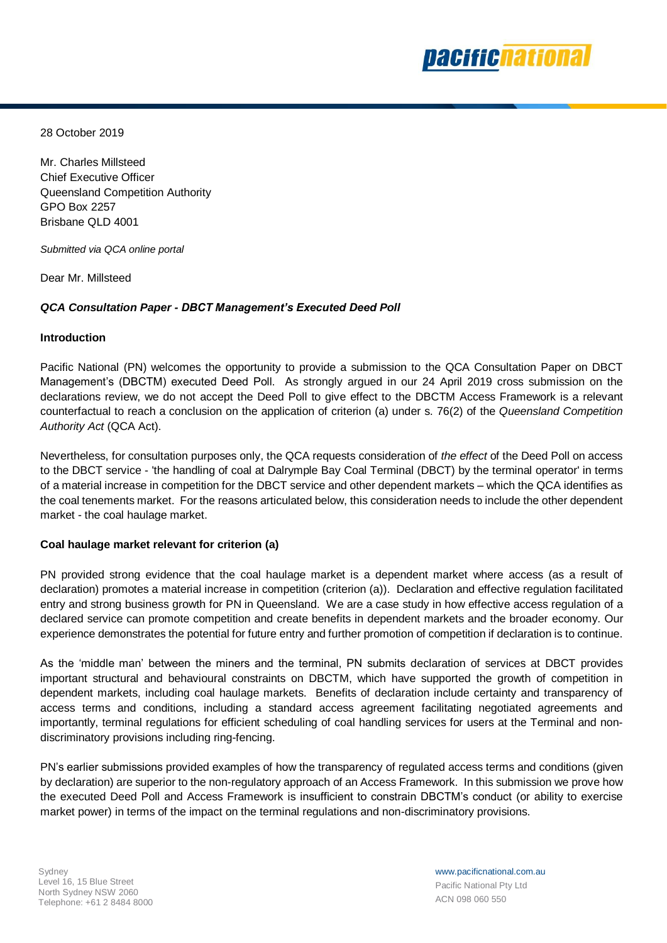

28 October 2019

Mr. Charles Millsteed Chief Executive Officer Queensland Competition Authority GPO Box 2257 Brisbane QLD 4001

*Submitted via QCA online portal*

Dear Mr. Millsteed

# *QCA Consultation Paper - DBCT Management's Executed Deed Poll*

## **Introduction**

Pacific National (PN) welcomes the opportunity to provide a submission to the QCA Consultation Paper on DBCT Management's (DBCTM) executed Deed Poll. As strongly argued in our 24 April 2019 cross submission on the declarations review, we do not accept the Deed Poll to give effect to the DBCTM Access Framework is a relevant counterfactual to reach a conclusion on the application of criterion (a) under s. 76(2) of the *Queensland Competition Authority Act* (QCA Act).

Nevertheless, for consultation purposes only, the QCA requests consideration of *the effect* of the Deed Poll on access to the DBCT service - 'the handling of coal at Dalrymple Bay Coal Terminal (DBCT) by the terminal operator' in terms of a material increase in competition for the DBCT service and other dependent markets – which the QCA identifies as the coal tenements market. For the reasons articulated below, this consideration needs to include the other dependent market - the coal haulage market.

# **Coal haulage market relevant for criterion (a)**

PN provided strong evidence that the coal haulage market is a dependent market where access (as a result of declaration) promotes a material increase in competition (criterion (a)). Declaration and effective regulation facilitated entry and strong business growth for PN in Queensland. We are a case study in how effective access regulation of a declared service can promote competition and create benefits in dependent markets and the broader economy. Our experience demonstrates the potential for future entry and further promotion of competition if declaration is to continue.

As the 'middle man' between the miners and the terminal, PN submits declaration of services at DBCT provides important structural and behavioural constraints on DBCTM, which have supported the growth of competition in dependent markets, including coal haulage markets. Benefits of declaration include certainty and transparency of access terms and conditions, including a standard access agreement facilitating negotiated agreements and importantly, terminal regulations for efficient scheduling of coal handling services for users at the Terminal and nondiscriminatory provisions including ring-fencing.

PN's earlier submissions provided examples of how the transparency of regulated access terms and conditions (given by declaration) are superior to the non-regulatory approach of an Access Framework. In this submission we prove how the executed Deed Poll and Access Framework is insufficient to constrain DBCTM's conduct (or ability to exercise market power) in terms of the impact on the terminal regulations and non-discriminatory provisions.

www.pacificnational.com.au Pacific National Pty Ltd ACN 098 060 550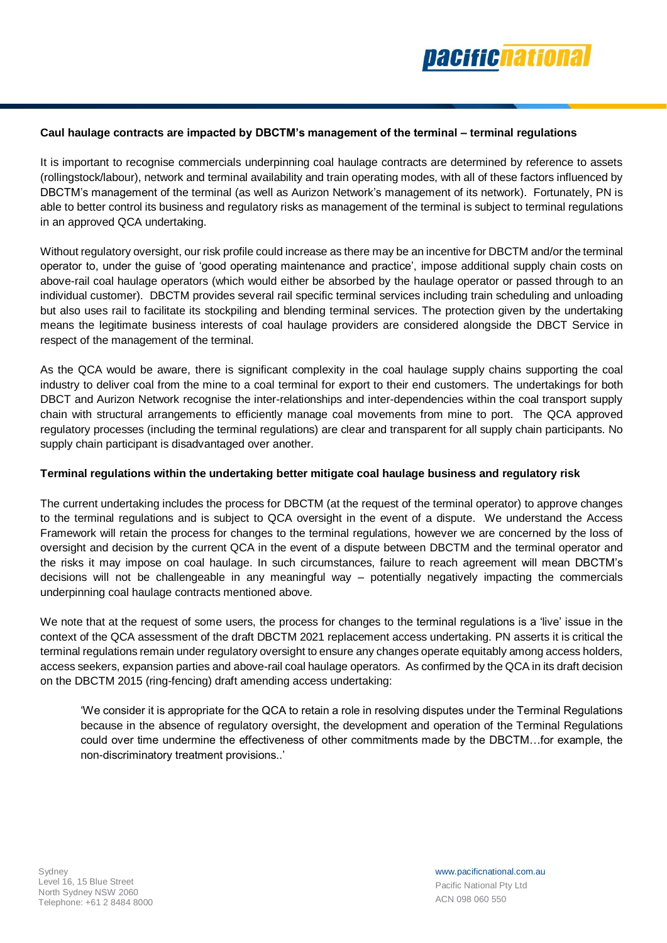

## **Caul haulage contracts are impacted by DBCTM's management of the terminal – terminal regulations**

It is important to recognise commercials underpinning coal haulage contracts are determined by reference to assets (rollingstock/labour), network and terminal availability and train operating modes, with all of these factors influenced by DBCTM's management of the terminal (as well as Aurizon Network's management of its network). Fortunately, PN is able to better control its business and regulatory risks as management of the terminal is subject to terminal regulations in an approved QCA undertaking.

Without regulatory oversight, our risk profile could increase as there may be an incentive for DBCTM and/or the terminal operator to, under the guise of 'good operating maintenance and practice', impose additional supply chain costs on above-rail coal haulage operators (which would either be absorbed by the haulage operator or passed through to an individual customer). DBCTM provides several rail specific terminal services including train scheduling and unloading but also uses rail to facilitate its stockpiling and blending terminal services. The protection given by the undertaking means the legitimate business interests of coal haulage providers are considered alongside the DBCT Service in respect of the management of the terminal.

As the QCA would be aware, there is significant complexity in the coal haulage supply chains supporting the coal industry to deliver coal from the mine to a coal terminal for export to their end customers. The undertakings for both DBCT and Aurizon Network recognise the inter-relationships and inter-dependencies within the coal transport supply chain with structural arrangements to efficiently manage coal movements from mine to port. The QCA approved regulatory processes (including the terminal regulations) are clear and transparent for all supply chain participants. No supply chain participant is disadvantaged over another.

### **Terminal regulations within the undertaking better mitigate coal haulage business and regulatory risk**

The current undertaking includes the process for DBCTM (at the request of the terminal operator) to approve changes to the terminal regulations and is subject to QCA oversight in the event of a dispute. We understand the Access Framework will retain the process for changes to the terminal regulations, however we are concerned by the loss of oversight and decision by the current QCA in the event of a dispute between DBCTM and the terminal operator and the risks it may impose on coal haulage. In such circumstances, failure to reach agreement will mean DBCTM's decisions will not be challengeable in any meaningful way – potentially negatively impacting the commercials underpinning coal haulage contracts mentioned above.

We note that at the request of some users, the process for changes to the terminal regulations is a 'live' issue in the context of the QCA assessment of the draft DBCTM 2021 replacement access undertaking. PN asserts it is critical the terminal regulations remain under regulatory oversight to ensure any changes operate equitably among access holders, access seekers, expansion parties and above-rail coal haulage operators. As confirmed by the QCA in its draft decision on the DBCTM 2015 (ring-fencing) draft amending access undertaking:

'We consider it is appropriate for the QCA to retain a role in resolving disputes under the Terminal Regulations because in the absence of regulatory oversight, the development and operation of the Terminal Regulations could over time undermine the effectiveness of other commitments made by the DBCTM…for example, the non-discriminatory treatment provisions..'

www.pacificnational.com.au Pacific National Pty Ltd ACN 098 060 550